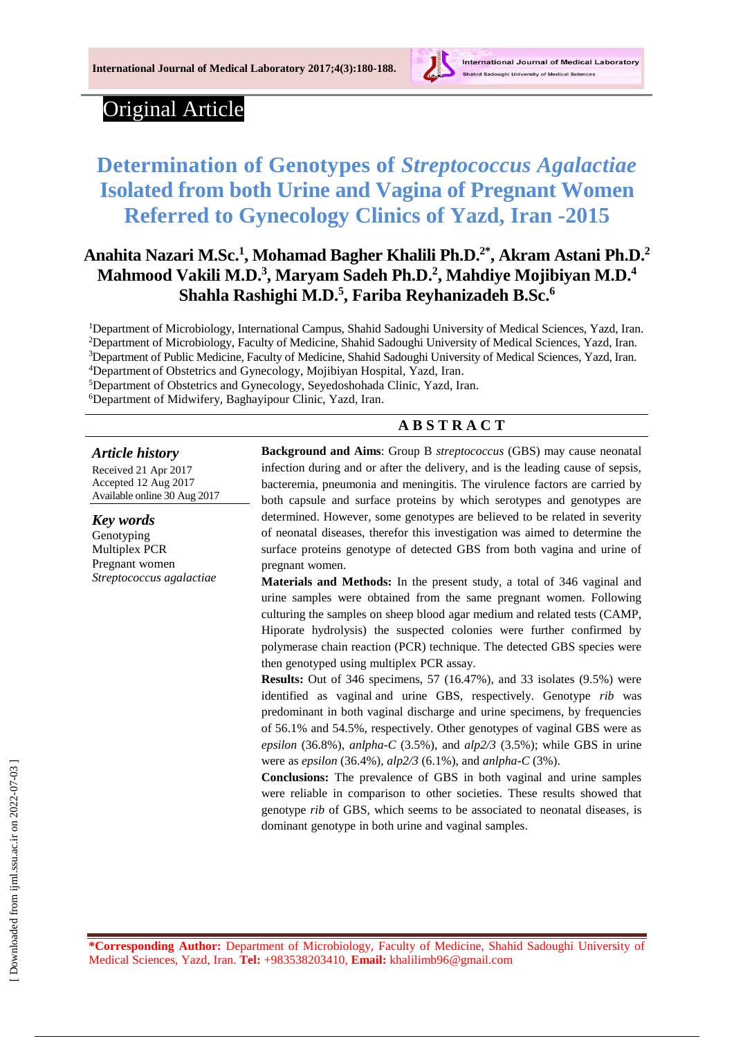

# Original Article

# **Determination of Genotypes of** *Streptococcus Agalactiae* **Isolated from both Urine and Vagina of Pregnant Women Referred to Gynecology Clinics of Yazd, Iran -2015**

# **Anahita Nazari M.Sc.<sup>1</sup> , Mohamad Bagher Khalili Ph.D.2\* , Akram Astani Ph.D.<sup>2</sup> Mahmood Vakili M.D. 3 , Maryam Sadeh Ph.D. 2 , Mahdiye Mojibiyan M.D.<sup>4</sup> Shahla Rashighi M.D.<sup>5</sup> , Fariba Reyhanizadeh B.Sc.<sup>6</sup>**

Department of Microbiology, International Campus, Shahid Sadoughi University of Medical Sciences, Yazd, Iran. Department of Microbiology, Faculty of Medicine, Shahid Sadoughi University of Medical Sciences, Yazd, Iran. Department of Public Medicine, Faculty of Medicine, Shahid Sadoughi University of Medical Sciences, Yazd, Iran. Department of Obstetrics and Gynecology, Mojibiyan Hospital, Yazd, Iran.

<sup>5</sup>Department of Obstetrics and Gynecology, Seyedoshohada Clinic, Yazd, Iran.

<sup>6</sup>Department of Midwifery, Baghayipour Clinic, Yazd, Iran.

#### **A B S T R A C T**

#### *Article history*

Received 21 Apr 2017 Accepted 12 Aug 2017 Available online 30 Aug 2017

*Key words* Genotyping Multiplex PCR Pregnant women *Streptococcus agalactiae* **Background and Aims**: Group B *streptococcus* (GBS) may cause neonatal infection during and or after the delivery, and is the leading cause of sepsis, bacteremia, pneumonia and meningitis. The virulence factors are carried by both capsule and surface proteins by which serotypes and genotypes are determined. However, some genotypes are believed to be related in severity of neonatal diseases, therefor this investigation was aimed to determine the surface proteins genotype of detected GBS from both vagina and urine of pregnant women.

**Materials and Methods:** In the present study, a total of 346 vaginal and urine samples were obtained from the same pregnant women. Following culturing the samples on sheep blood agar medium and related tests (CAMP, Hiporate hydrolysis) the suspected colonies were further confirmed by polymerase chain reaction (PCR) technique. The detected GBS species were then genotyped using multiplex PCR assay.

**Results:** Out of 346 specimens, 57 (16.47%), and 33 isolates (9.5%) were identified as vaginal and urine GBS, respectively. Genotype *rib* was predominant in both vaginal discharge and urine specimens, by frequencies of 56.1% and 54.5%, respectively. Other genotypes of vaginal GBS were as *epsilon* (36.8%), *anlpha-C* (3.5%), and *alp2/3* (3.5%); while GBS in urine were as *epsilon* (36.4%), *alp2/3* (6.1%), and *anlpha-C* (3%).

**Conclusions:** The prevalence of GBS in both vaginal and urine samples were reliable in comparison to other societies. These results showed that genotype *rib* of GBS, which seems to be associated to neonatal diseases, is dominant genotype in both urine and vaginal samples.

**\*Corresponding Author:** Department of Microbiology, Faculty of Medicine, Shahid Sadoughi University of Medical Sciences, Yazd, Iran. **Tel:** +983538203410, **Email:** khalilimb96@gmail.com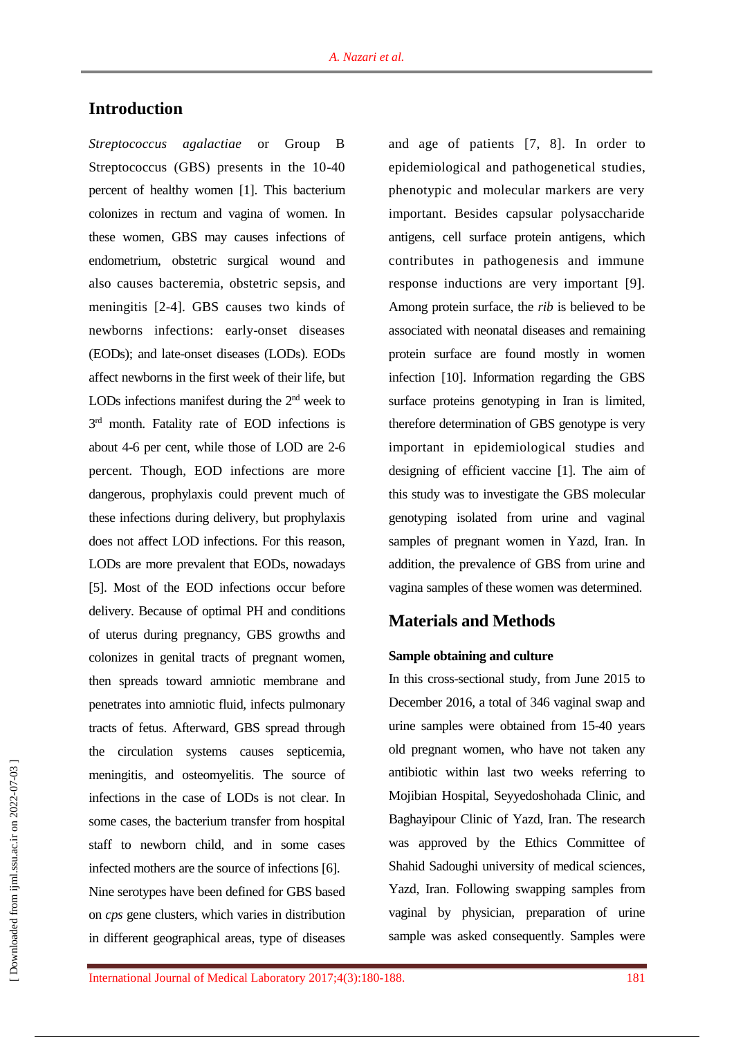## **Introduction**

*Streptococcus agalactiae* or Group B Streptococcus (GBS) presents in the 10-40 percent of healthy women [1]. This bacterium colonizes in rectum and vagina of women. In these women, GBS may causes infections of endometrium, obstetric surgical wound and also causes bacteremia, obstetric sepsis, and meningitis [2-4]. GBS causes two kinds of newborns infections: early-onset diseases (EODs); and late-onset diseases (LODs). EODs affect newborns in the first week of their life, but LODs infections manifest during the  $2<sup>nd</sup>$  week to 3<sup>rd</sup> month. Fatality rate of EOD infections is about 4-6 per cent, while those of LOD are 2-6 percent. Though, EOD infections are more dangerous, prophylaxis could prevent much of these infections during delivery, but prophylaxis does not affect LOD infections. For this reason, LODs are more prevalent that EODs, nowadays [5]. Most of the EOD infections occur before delivery. Because of optimal PH and conditions of uterus during pregnancy, GBS growths and colonizes in genital tracts of pregnant women, then spreads toward amniotic membrane and penetrates into amniotic fluid, infects pulmonary tracts of fetus. Afterward, GBS spread through the circulation systems causes septicemia, meningitis, and osteomyelitis. The source of infections in the case of LODs is not clear. In some cases, the bacterium transfer from hospital staff to newborn child, and in some cases infected mothers are the source of infections [6]. Nine serotypes have been defined for GBS based on *cps* gene clusters, which varies in distribution in different geographical areas, type of diseases

and age of patients [7, 8]. In order to epidemiological and pathogenetical studies, phenotypic and molecular markers are very important. Besides capsular polysaccharide antigens, cell surface protein antigens, which contributes in pathogenesis and immune response inductions are very important [9]. Among protein surface, the *rib* is believed to be associated with neonatal diseases and remaining protein surface are found mostly in women infection [10]. Information regarding the GBS surface proteins genotyping in Iran is limited, therefore determination of GBS genotype is very important in epidemiological studies and designing of efficient vaccine [1]. The aim of this study was to investigate the GBS molecular genotyping isolated from urine and vaginal samples of pregnant women in Yazd, Iran. In addition, the prevalence of GBS from urine and vagina samples of these women was determined.

## **Materials and Methods**

#### **Sample obtaining and culture**

In this cross-sectional study, from June 2015 to December 2016, a total of 346 vaginal swap and urine samples were obtained from 15-40 years old pregnant women, who have not taken any antibiotic within last two weeks referring to Mojibian Hospital, Seyyedoshohada Clinic, and Baghayipour Clinic of Yazd, Iran. The research was approved by the Ethics Committee of Shahid Sadoughi university of medical sciences, Yazd, Iran. Following swapping samples from vaginal by physician, preparation of urine sample was asked consequently. Samples were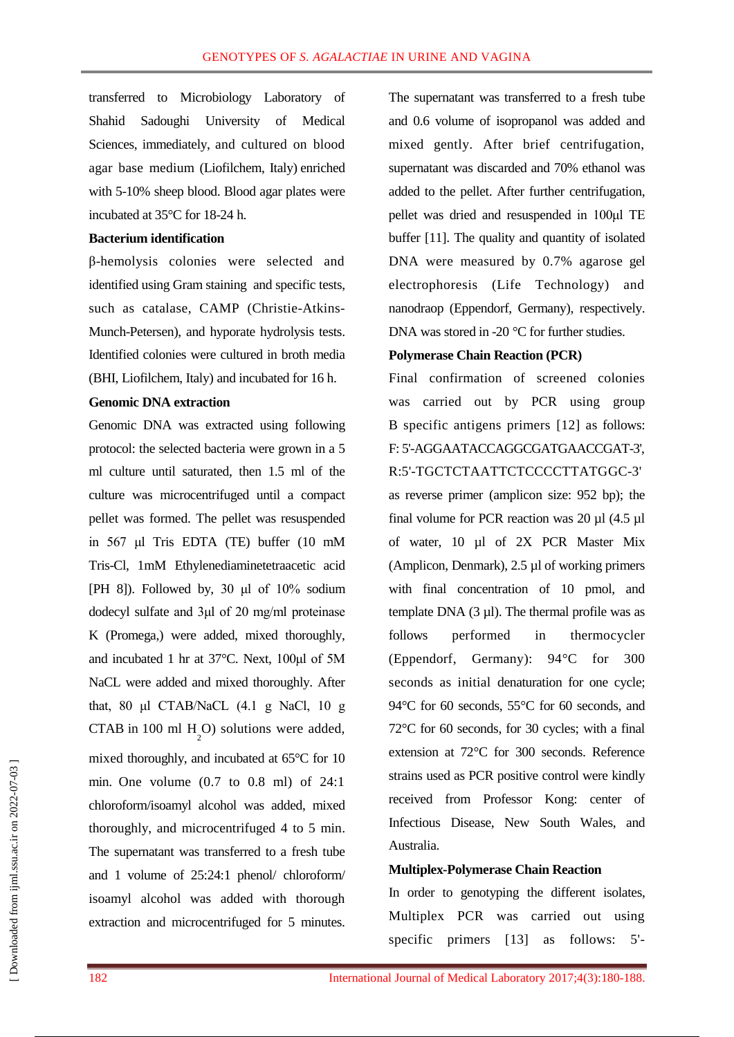transferred to Microbiology Laboratory of Shahid Sadoughi University of Medical Sciences, immediately, and cultured on blood agar base medium (Liofilchem, Italy) enriched with 5-10% sheep blood. Blood agar plates were incubated at 35°C for 18-24 h.

#### **Bacterium identification**

β-hemolysis colonies were selected and identified using Gram staining and specific tests, such as catalase, CAMP (Christie-Atkins-Munch-Petersen), and hyporate hydrolysis tests. Identified colonies were cultured in broth media (BHI, Liofilchem, Italy) and incubated for 16 h.

#### **Genomic DNA extraction**

Genomic DNA was extracted using following protocol: the selected bacteria were grown in a 5 ml culture until saturated, then 1.5 ml of the culture was microcentrifuged until a compact pellet was formed. The pellet was resuspended in 567 μl Tris EDTA (TE) buffer (10 mM Tris-Cl, 1mM Ethylenediaminetetraacetic acid [PH 8]). Followed by, 30  $\mu$ l of 10% sodium dodecyl sulfate and 3μl of 20 mg/ml proteinase K (Promega,) were added, mixed thoroughly, and incubated 1 hr at 37°C. Next, 100μl of 5M NaCL were added and mixed thoroughly. After that, 80 μl CTAB/NaCL (4.1 g NaCl, 10 g CTAB in 100 ml  $H_2$ O) solutions were added, mixed thoroughly, and incubated at 65°C for 10 min. One volume (0.7 to 0.8 ml) of 24:1 chloroform/isoamyl alcohol was added, mixed thoroughly, and microcentrifuged 4 to 5 min. The supernatant was transferred to a fresh tube and 1 volume of 25:24:1 phenol/ chloroform/ isoamyl alcohol was added with thorough extraction and microcentrifuged for 5 minutes.

The supernatant was transferred to a fresh tube and 0.6 volume of isopropanol was added and mixed gently. After brief centrifugation, supernatant was discarded and 70% ethanol was added to the pellet. After further centrifugation, pellet was dried and resuspended in 100μl TE buffer [11]. The quality and quantity of isolated DNA were measured by 0.7% agarose gel electrophoresis (Life Technology) and nanodraop (Eppendorf, Germany), respectively. DNA was stored in -20 °C for further studies.

#### **Polymerase Chain Reaction (PCR)**

Final confirmation of screened colonies was carried out by PCR using group B specific antigens primers [12] as follows: F: 5'-AGGAATACCAGGCGATGAACCGAT-3', R:5'-TGCTCTAATTCTCCCCTTATGGC-3' as reverse primer (amplicon size: 952 bp); the final volume for PCR reaction was 20 µl (4.5 µl of water, 10 µl of 2X PCR Master Mix (Amplicon, Denmark), 2.5 µl of working primers with final concentration of 10 pmol, and template DNA  $(3 \mu l)$ . The thermal profile was as follows performed in thermocycler (Eppendorf, Germany): 94°C for 300 seconds as initial denaturation for one cycle; 94°C for 60 seconds, 55°C for 60 seconds, and 72°C for 60 seconds, for 30 cycles; with a final extension at 72°C for 300 seconds. Reference strains used as PCR positive control were kindly received from Professor Kong: center of Infectious Disease, New South Wales, and Australia.

## **Multiplex-Polymerase Chain Reaction**

In order to genotyping the different isolates, Multiplex PCR was carried out using specific primers [13] as follows: 5'-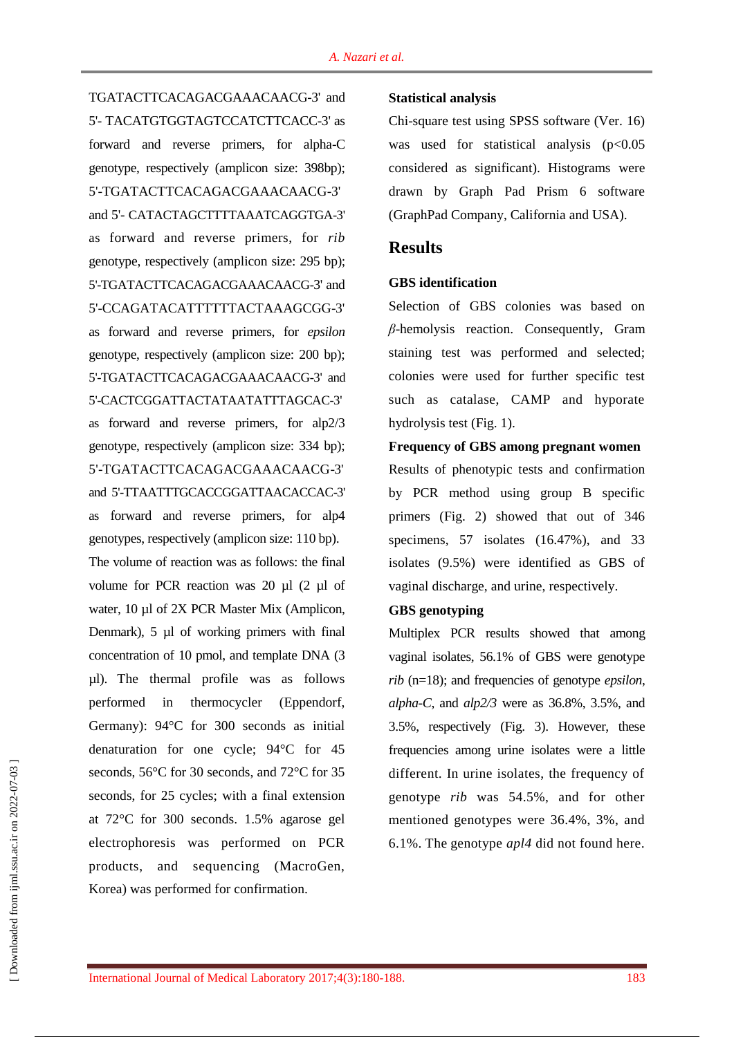TGATACTTCACAGACGAAACAACG-3' and 5'- TACATGTGGTAGTCCATCTTCACC-3' as forward and reverse primers, for alpha-C genotype, respectively (amplicon size: 398bp); 5'-TGATACTTCACAGACGAAACAACG-3' and 5'- CATACTAGCTTTTAAATCAGGTGA-3' as forward and reverse primers, for *rib* genotype, respectively (amplicon size: 295 bp); 5'-TGATACTTCACAGACGAAACAACG-3' and 5'-CCAGATACATTTTTTACTAAAGCGG-3' as forward and reverse primers, for *epsilon* genotype, respectively (amplicon size: 200 bp); 5'-TGATACTTCACAGACGAAACAACG-3' and 5'-CACTCGGATTACTATAATATTTAGCAC-3' as forward and reverse primers, for alp2/3 genotype, respectively (amplicon size: 334 bp); 5'-TGATACTTCACAGACGAAACAACG-3' and 5'-TTAATTTGCACCGGATTAACACCAC-3' as forward and reverse primers, for alp4 genotypes, respectively (amplicon size: 110 bp). The volume of reaction was as follows: the final volume for PCR reaction was 20 µl (2 µl of water, 10 µl of 2X PCR Master Mix (Amplicon, Denmark), 5 µl of working primers with final concentration of 10 pmol, and template DNA (3 µl). The thermal profile was as follows performed in thermocycler (Eppendorf, Germany): 94°C for 300 seconds as initial denaturation for one cycle; 94°C for 45 seconds, 56°C for 30 seconds, and 72°C for 35 seconds, for 25 cycles; with a final extension at 72°C for 300 seconds. 1.5% agarose gel electrophoresis was performed on PCR products, and sequencing (MacroGen, Korea) was performed for confirmation.

#### **Statistical analysis**

Chi-square test using SPSS software (Ver. 16) was used for statistical analysis  $(p<0.05$ considered as significant). Histograms were drawn by Graph Pad Prism 6 software (GraphPad Company, California and USA).

## **Results**

### **GBS identification**

Selection of GBS colonies was based on *β*-hemolysis reaction. Consequently, Gram staining test was performed and selected; colonies were used for further specific test such as catalase, CAMP and hyporate hydrolysis test (Fig. 1).

### **Frequency of GBS among pregnant women**

Results of phenotypic tests and confirmation by PCR method using group B specific primers (Fig. 2) showed that out of 346 specimens, 57 isolates (16.47%), and 33 isolates (9.5%) were identified as GBS of vaginal discharge, and urine, respectively.

### **GBS genotyping**

Multiplex PCR results showed that among vaginal isolates, 56.1% of GBS were genotype *rib* (n=18); and frequencies of genotype *epsilon*, *alpha-C*, and *alp2/3* were as 36.8%, 3.5%, and 3.5%, respectively (Fig. 3). However, these frequencies among urine isolates were a little different. In urine isolates, the frequency of genotype *rib* was 54.5%, and for other mentioned genotypes were 36.4%, 3%, and 6.1%. The genotype *apl4* did not found here.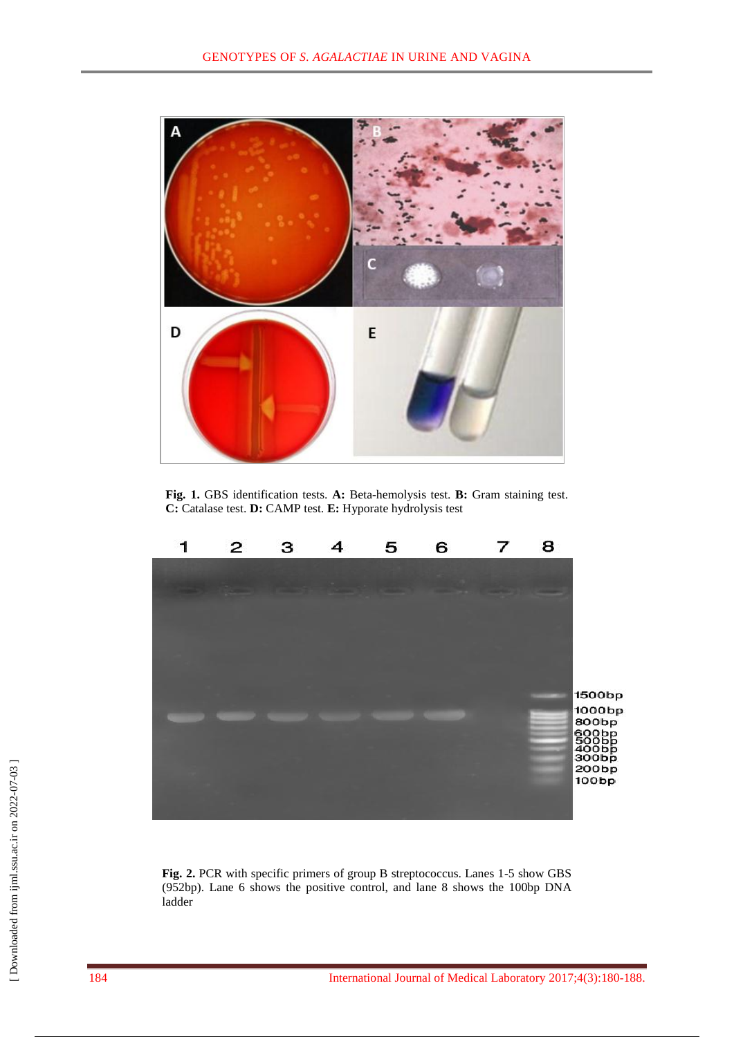

**Fig. 1.** GBS identification tests. **A:** Beta-hemolysis test. **B:** Gram staining test. **C:** Catalase test. **D:** CAMP test. **E:** Hyporate hydrolysis test



**Fig. 2.** PCR with specific primers of group B streptococcus. Lanes 1-5 show GBS (952bp). Lane 6 shows the positive control, and lane 8 shows the 100bp DNA ladder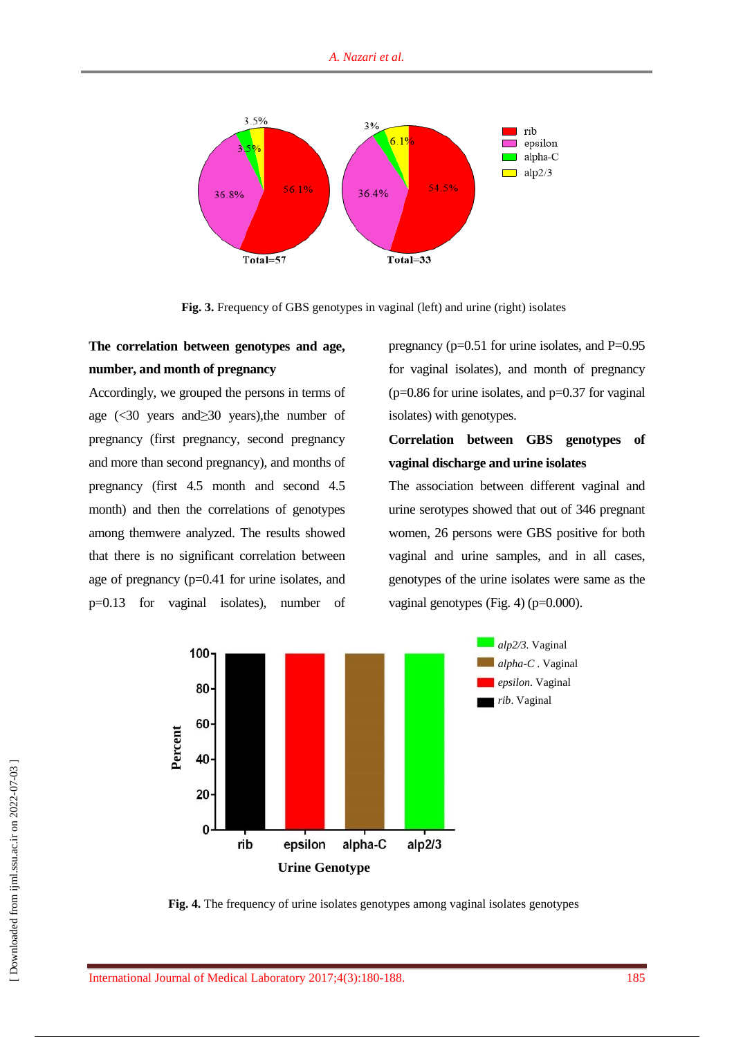

**Fig. 3.** Frequency of GBS genotypes in vaginal (left) and urine (right) isolates

## **The correlation between genotypes and age, number, and month of pregnancy**

Accordingly, we grouped the persons in terms of age (<30 years and≥30 years),the number of pregnancy (first pregnancy, second pregnancy and more than second pregnancy), and months of pregnancy (first 4.5 month and second 4.5 month) and then the correlations of genotypes among themwere analyzed. The results showed that there is no significant correlation between age of pregnancy (p=0.41 for urine isolates, and p=0.13 for vaginal isolates), number of

pregnancy ( $p=0.51$  for urine isolates, and  $P=0.95$ for vaginal isolates), and month of pregnancy  $(p=0.86$  for urine isolates, and  $p=0.37$  for vaginal isolates) with genotypes.

## **Correlation between GBS genotypes of vaginal discharge and urine isolates**

The association between different vaginal and urine serotypes showed that out of 346 pregnant women, 26 persons were GBS positive for both vaginal and urine samples, and in all cases, genotypes of the urine isolates were same as the vaginal genotypes (Fig. 4) (p=0.000).



**Fig. 4.** The frequency of urine isolates genotypes among vaginal isolates genotypes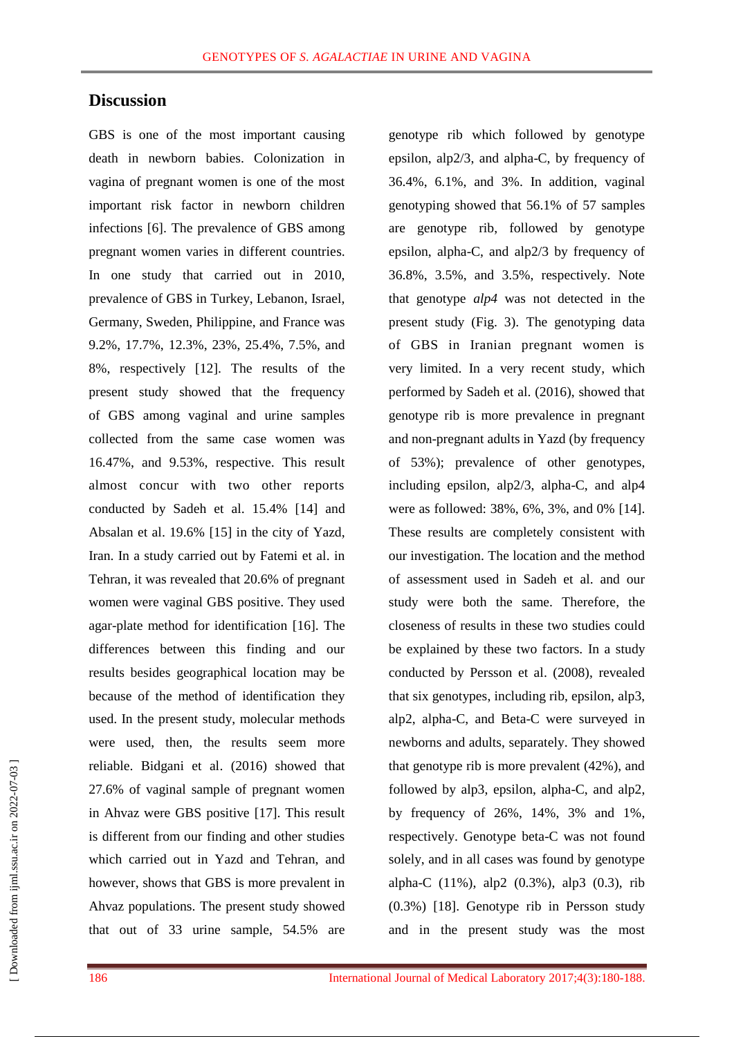## **Discussion**

GBS is one of the most important causing death in newborn babies. Colonization in vagina of pregnant women is one of the most important risk factor in newborn children infections [6]. The prevalence of GBS among pregnant women varies in different countries. In one study that carried out in 2010, prevalence of GBS in Turkey, Lebanon, Israel, Germany, Sweden, Philippine, and France was 9.2%, 17.7%, 12.3%, 23%, 25.4%, 7.5%, and 8%, respectively [12]. The results of the present study showed that the frequency of GBS among vaginal and urine samples collected from the same case women was 16.47%, and 9.53%, respective. This result almost concur with two other reports conducted by Sadeh et al. 15.4% [14] and Absalan et al. 19.6% [15] in the city of Yazd, Iran. In a study carried out by Fatemi et al. in Tehran, it was revealed that 20.6% of pregnant women were vaginal GBS positive. They used agar-plate method for identification [16]. The differences between this finding and our results besides geographical location may be because of the method of identification they used. In the present study, molecular methods were used, then, the results seem more reliable. Bidgani et al. (2016) showed that 27.6% of vaginal sample of pregnant women in Ahvaz were GBS positive [17]. This result is different from our finding and other studies which carried out in Yazd and Tehran, and however, shows that GBS is more prevalent in Ahvaz populations. The present study showed that out of 33 urine sample, 54.5% are

genotype rib which followed by genotype epsilon, alp2/3, and alpha-C, by frequency of 36.4%, 6.1%, and 3%. In addition, vaginal genotyping showed that 56.1% of 57 samples are genotype rib, followed by genotype epsilon, alpha-C, and alp2/3 by frequency of 36.8%, 3.5%, and 3.5%, respectively. Note that genotype *alp4* was not detected in the present study (Fig. 3). The genotyping data of GBS in Iranian pregnant women is very limited. In a very recent study, which performed by Sadeh et al. (2016), showed that genotype rib is more prevalence in pregnant and non-pregnant adults in Yazd (by frequency of 53%); prevalence of other genotypes, including epsilon, alp2/3, alpha-C, and alp4 were as followed: 38%, 6%, 3%, and 0% [14]. These results are completely consistent with our investigation. The location and the method of assessment used in Sadeh et al. and our study were both the same. Therefore, the closeness of results in these two studies could be explained by these two factors. In a study conducted by Persson et al. (2008), revealed that six genotypes, including rib, epsilon, alp3, alp2, alpha-C, and Beta-C were surveyed in newborns and adults, separately. They showed that genotype rib is more prevalent (42%), and followed by alp3, epsilon, alpha-C, and alp2, by frequency of 26%, 14%, 3% and 1%, respectively. Genotype beta-C was not found solely, and in all cases was found by genotype alpha-C (11%), alp2 (0.3%), alp3 (0.3), rib (0.3%) [18]. Genotype rib in Persson study and in the present study was the most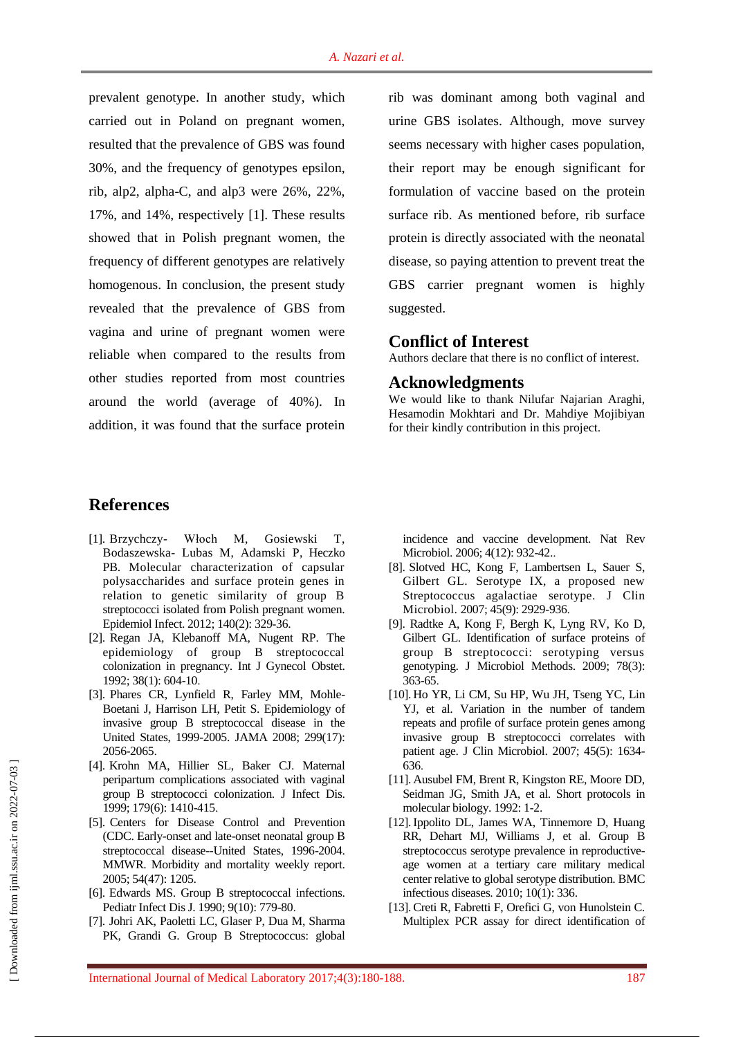prevalent genotype. In another study, which carried out in Poland on pregnant women, resulted that the prevalence of GBS was found 30%, and the frequency of genotypes epsilon, rib, alp2, alpha-C, and alp3 were 26%, 22%, 17%, and 14%, respectively [1]. These results showed that in Polish pregnant women, the frequency of different genotypes are relatively homogenous. In conclusion, the present study revealed that the prevalence of GBS from vagina and urine of pregnant women were reliable when compared to the results from other studies reported from most countries around the world (average of 40%). In addition, it was found that the surface protein

rib was dominant among both vaginal and urine GBS isolates. Although, move survey seems necessary with higher cases population, their report may be enough significant for formulation of vaccine based on the protein surface rib. As mentioned before, rib surface protein is directly associated with the neonatal disease, so paying attention to prevent treat the GBS carrier pregnant women is highly suggested.

### **Conflict of Interest**

Authors declare that there is no conflict of interest.

#### **Acknowledgments**

We would like to thank Nilufar Najarian Araghi, Hesamodin Mokhtari and Dr. Mahdiye Mojibiyan for their kindly contribution in this project.

## **References**

- [1]. Brzychczy- [Włoch M,](https://www.ncbi.nlm.nih.gov/pubmed/?term=Brzychczy-W%C5%82och%20M%5BAuthor%5D&cauthor=true&cauthor_uid=21489340) [Gosiewski T,](https://www.ncbi.nlm.nih.gov/pubmed/?term=Gosiewski%20T%5BAuthor%5D&cauthor=true&cauthor_uid=21489340)  [Bodaszewska-](https://www.ncbi.nlm.nih.gov/pubmed/?term=Bodaszewska-Lubas%20M%5BAuthor%5D&cauthor=true&cauthor_uid=21489340) Lubas M, [Adamski P,](https://www.ncbi.nlm.nih.gov/pubmed/?term=Adamski%20P%5BAuthor%5D&cauthor=true&cauthor_uid=21489340) [Heczko](https://www.ncbi.nlm.nih.gov/pubmed/?term=Heczko%20PB%5BAuthor%5D&cauthor=true&cauthor_uid=21489340)  [PB.](https://www.ncbi.nlm.nih.gov/pubmed/?term=Heczko%20PB%5BAuthor%5D&cauthor=true&cauthor_uid=21489340) Molecular characterization of capsular polysaccharides and surface protein genes in relation to genetic similarity of group B streptococci isolated from Polish pregnant women. Epidemiol Infect. 2012; 140(2): 329-36.
- [2]. Regan JA, Klebanoff MA, Nugent RP. The epidemiology of group B streptococcal colonization in pregnancy. Int J Gynecol Obstet. 1992; 38(1): 604-10.
- [3]. [Phares CR,](https://www.ncbi.nlm.nih.gov/pubmed/?term=Phares%20CR%5BAuthor%5D&cauthor=true&cauthor_uid=18460666) [Lynfield R,](https://www.ncbi.nlm.nih.gov/pubmed/?term=Lynfield%20R%5BAuthor%5D&cauthor=true&cauthor_uid=18460666) [Farley MM,](https://www.ncbi.nlm.nih.gov/pubmed/?term=Farley%20MM%5BAuthor%5D&cauthor=true&cauthor_uid=18460666) [Mohle-](https://www.ncbi.nlm.nih.gov/pubmed/?term=Mohle-Boetani%20J%5BAuthor%5D&cauthor=true&cauthor_uid=18460666)[Boetani J,](https://www.ncbi.nlm.nih.gov/pubmed/?term=Mohle-Boetani%20J%5BAuthor%5D&cauthor=true&cauthor_uid=18460666) [Harrison LH,](https://www.ncbi.nlm.nih.gov/pubmed/?term=Harrison%20LH%5BAuthor%5D&cauthor=true&cauthor_uid=18460666) [Petit S.](https://www.ncbi.nlm.nih.gov/pubmed/?term=Petit%20S%5BAuthor%5D&cauthor=true&cauthor_uid=18460666) Epidemiology of invasive group B streptococcal disease in the United States, 1999-2005. JAMA 2008; 299(17): 2056-2065.
- [4]. Krohn MA, Hillier SL, Baker CJ. Maternal peripartum complications associated with vaginal group B streptococci colonization. J Infect Dis. 1999; 179(6): 1410-415.
- [5]. Centers for Disease Control and Prevention (CDC. Early-onset and late-onset neonatal group B streptococcal disease--United States, 1996-2004. MMWR. Morbidity and mortality weekly report. 2005; 54(47): 1205.
- [6]. Edwards MS. Group B streptococcal infections. Pediatr Infect Dis J. 1990; 9(10): 779-80.
- [7]. [Johri AK,](https://www.ncbi.nlm.nih.gov/pubmed/?term=Johri%20AK%5BAuthor%5D&cauthor=true&cauthor_uid=17088932) [Paoletti LC,](https://www.ncbi.nlm.nih.gov/pubmed/?term=Paoletti%20LC%5BAuthor%5D&cauthor=true&cauthor_uid=17088932) [Glaser P,](https://www.ncbi.nlm.nih.gov/pubmed/?term=Glaser%20P%5BAuthor%5D&cauthor=true&cauthor_uid=17088932) [Dua M,](https://www.ncbi.nlm.nih.gov/pubmed/?term=Dua%20M%5BAuthor%5D&cauthor=true&cauthor_uid=17088932) [Sharma](https://www.ncbi.nlm.nih.gov/pubmed/?term=Sharma%20PK%5BAuthor%5D&cauthor=true&cauthor_uid=17088932)  [PK,](https://www.ncbi.nlm.nih.gov/pubmed/?term=Sharma%20PK%5BAuthor%5D&cauthor=true&cauthor_uid=17088932) [Grandi G.](https://www.ncbi.nlm.nih.gov/pubmed/?term=Grandi%20G%5BAuthor%5D&cauthor=true&cauthor_uid=17088932) Group B Streptococcus: global

incidence and vaccine development. [Nat Rev](https://www.ncbi.nlm.nih.gov/pubmed/?term=Group+B+Streptococcus%3A+global+incidence+and+vaccine+development.+Nature+reviews.+Microbi)  [Microbiol.](https://www.ncbi.nlm.nih.gov/pubmed/?term=Group+B+Streptococcus%3A+global+incidence+and+vaccine+development.+Nature+reviews.+Microbi) 2006; 4(12): 932-42..

- [8]. [Slotved HC,](https://www.ncbi.nlm.nih.gov/pubmed/?term=Slotved%20HC%5BAuthor%5D&cauthor=true&cauthor_uid=17634306) [Kong F,](https://www.ncbi.nlm.nih.gov/pubmed/?term=Kong%20F%5BAuthor%5D&cauthor=true&cauthor_uid=17634306) [Lambertsen L,](https://www.ncbi.nlm.nih.gov/pubmed/?term=Lambertsen%20L%5BAuthor%5D&cauthor=true&cauthor_uid=17634306) [Sauer S,](https://www.ncbi.nlm.nih.gov/pubmed/?term=Sauer%20S%5BAuthor%5D&cauthor=true&cauthor_uid=17634306) [Gilbert GL.](https://www.ncbi.nlm.nih.gov/pubmed/?term=Gilbert%20GL%5BAuthor%5D&cauthor=true&cauthor_uid=17634306) Serotype IX, a proposed new Streptococcus agalactiae serotype. [J Clin](https://www.ncbi.nlm.nih.gov/pubmed/17634306)  [Microbiol.](https://www.ncbi.nlm.nih.gov/pubmed/17634306) 2007; 45(9): 2929-936.
- [9]. [Radtke A,](https://www.ncbi.nlm.nih.gov/pubmed/?term=Radtke%20A%5BAuthor%5D&cauthor=true&cauthor_uid=19573567) [Kong F,](https://www.ncbi.nlm.nih.gov/pubmed/?term=Kong%20F%5BAuthor%5D&cauthor=true&cauthor_uid=19573567) [Bergh K,](https://www.ncbi.nlm.nih.gov/pubmed/?term=Bergh%20K%5BAuthor%5D&cauthor=true&cauthor_uid=19573567) [Lyng RV,](https://www.ncbi.nlm.nih.gov/pubmed/?term=Lyng%20RV%5BAuthor%5D&cauthor=true&cauthor_uid=19573567) [Ko D,](https://www.ncbi.nlm.nih.gov/pubmed/?term=Ko%20D%5BAuthor%5D&cauthor=true&cauthor_uid=19573567) [Gilbert GL.](https://www.ncbi.nlm.nih.gov/pubmed/?term=Gilbert%20GL%5BAuthor%5D&cauthor=true&cauthor_uid=19573567) Identification of surface proteins of group B streptococci: serotyping versus genotyping. J Microbiol Methods. 2009; 78(3): 363-65.
- [10]. [Ho YR,](https://www.ncbi.nlm.nih.gov/pubmed/?term=Ho%20YR%5BAuthor%5D&cauthor=true&cauthor_uid=17344358) [Li CM,](https://www.ncbi.nlm.nih.gov/pubmed/?term=Li%20CM%5BAuthor%5D&cauthor=true&cauthor_uid=17344358) [Su HP,](https://www.ncbi.nlm.nih.gov/pubmed/?term=Su%20HP%5BAuthor%5D&cauthor=true&cauthor_uid=17344358) [Wu JH,](https://www.ncbi.nlm.nih.gov/pubmed/?term=Wu%20JH%5BAuthor%5D&cauthor=true&cauthor_uid=17344358) [Tseng YC,](https://www.ncbi.nlm.nih.gov/pubmed/?term=Tseng%20YC%5BAuthor%5D&cauthor=true&cauthor_uid=17344358) [Lin](https://www.ncbi.nlm.nih.gov/pubmed/?term=Lin%20YJ%5BAuthor%5D&cauthor=true&cauthor_uid=17344358)  [YJ,](https://www.ncbi.nlm.nih.gov/pubmed/?term=Lin%20YJ%5BAuthor%5D&cauthor=true&cauthor_uid=17344358) et al. Variation in the number of tandem repeats and profile of surface protein genes among invasive group B streptococci correlates with patient age. [J Clin Microbiol.](https://www.ncbi.nlm.nih.gov/pubmed/?term=Variation+in+the+number+of+tandem+repeats+and+profile+of+surface+protein+genes+among+invasive+group+B+streptococci+correlates+with+patient+age) 2007; 45(5): 1634- 636.
- [11]. Ausubel FM, Brent R, Kingston RE, Moore DD, Seidman JG, Smith JA, et al. Short protocols in molecular biology. 1992: 1-2.
- [12].Ippolito DL, James WA, Tinnemore D, Huang RR, Dehart MJ, Williams J, et al. Group B streptococcus serotype prevalence in reproductiveage women at a tertiary care military medical center relative to global serotype distribution. BMC infectious diseases. 2010; 10(1): 336.
- [13].Creti R, Fabretti F, Orefici G, von Hunolstein C. Multiplex PCR assay for direct identification of